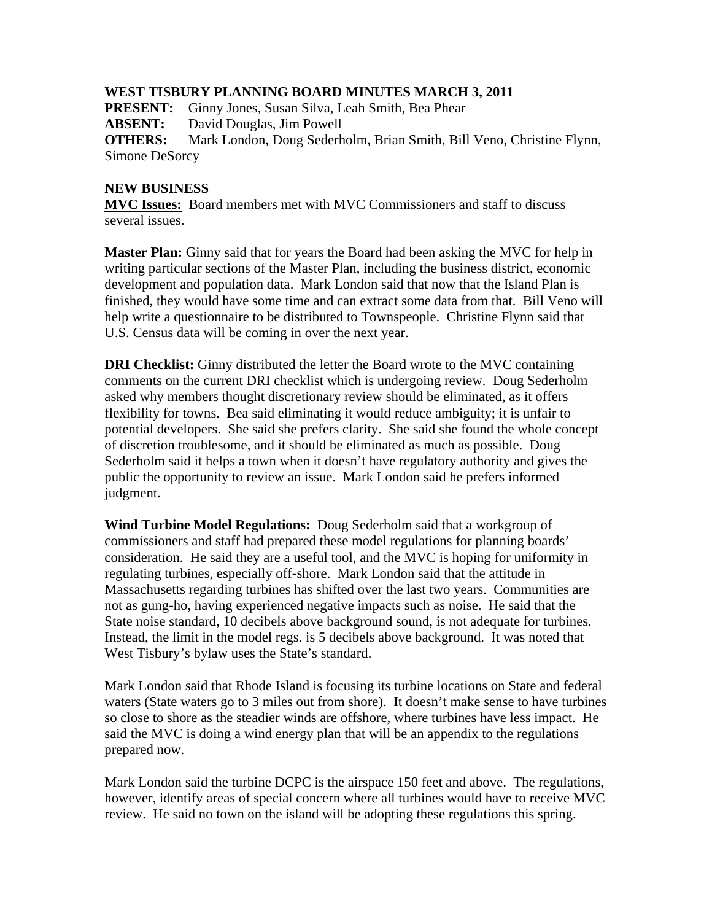## **WEST TISBURY PLANNING BOARD MINUTES MARCH 3, 2011**

**PRESENT:** Ginny Jones, Susan Silva, Leah Smith, Bea Phear **ABSENT:** David Douglas, Jim Powell **OTHERS:** Mark London, Doug Sederholm, Brian Smith, Bill Veno, Christine Flynn, Simone DeSorcy

## **NEW BUSINESS**

**MVC Issues:** Board members met with MVC Commissioners and staff to discuss several issues.

**Master Plan:** Ginny said that for years the Board had been asking the MVC for help in writing particular sections of the Master Plan, including the business district, economic development and population data. Mark London said that now that the Island Plan is finished, they would have some time and can extract some data from that. Bill Veno will help write a questionnaire to be distributed to Townspeople. Christine Flynn said that U.S. Census data will be coming in over the next year.

**DRI Checklist:** Ginny distributed the letter the Board wrote to the MVC containing comments on the current DRI checklist which is undergoing review. Doug Sederholm asked why members thought discretionary review should be eliminated, as it offers flexibility for towns. Bea said eliminating it would reduce ambiguity; it is unfair to potential developers. She said she prefers clarity. She said she found the whole concept of discretion troublesome, and it should be eliminated as much as possible. Doug Sederholm said it helps a town when it doesn't have regulatory authority and gives the public the opportunity to review an issue. Mark London said he prefers informed judgment.

**Wind Turbine Model Regulations:** Doug Sederholm said that a workgroup of commissioners and staff had prepared these model regulations for planning boards' consideration. He said they are a useful tool, and the MVC is hoping for uniformity in regulating turbines, especially off-shore. Mark London said that the attitude in Massachusetts regarding turbines has shifted over the last two years. Communities are not as gung-ho, having experienced negative impacts such as noise. He said that the State noise standard, 10 decibels above background sound, is not adequate for turbines. Instead, the limit in the model regs. is 5 decibels above background. It was noted that West Tisbury's bylaw uses the State's standard.

Mark London said that Rhode Island is focusing its turbine locations on State and federal waters (State waters go to 3 miles out from shore). It doesn't make sense to have turbines so close to shore as the steadier winds are offshore, where turbines have less impact. He said the MVC is doing a wind energy plan that will be an appendix to the regulations prepared now.

Mark London said the turbine DCPC is the airspace 150 feet and above. The regulations, however, identify areas of special concern where all turbines would have to receive MVC review. He said no town on the island will be adopting these regulations this spring.